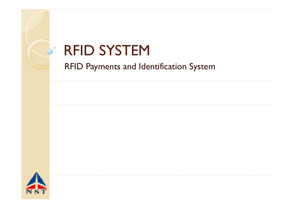

## RFID SYSTEM

RFID Payments and Identification System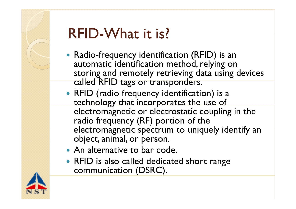

# RFID-What it is?

- Radio-frequency identification (RFID) is an automatic identification method, relying on storing and remotely retrieving data using devices called RFID tags or transponders.
- RFID (radio frequency identification) is a technology that incorporates the use of electromagnetic or electrostatic coupling in the radio frequency (RF) portion of the electromagnetic spectrum to uniquely identify an object, animal, or person.
- An alternative to bar code.
- RFID is also called dedicated short range communication (DSRC).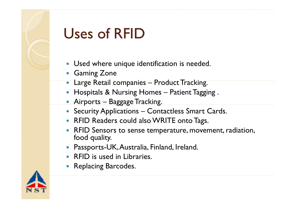

# Uses of RFID

- Used where unique identification is needed.
- Gaming Zone
- Large Retail companies – Product Tracking.
- Hospitals & Nursing Homes Patient Tagging .
- Airports Baggage Tracking.
- Security Applications Contactless Smart Cards.
- RFID Readers could also WRITE onto Tags.
- RFID Sensors to sense temperature, movement, radiation, food quality.
- Passports-UK, Australia, Finland, Ireland.
- RFID is used in Libraries.
- Replacing Barcodes.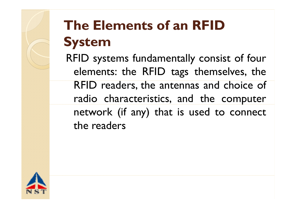

# **The Elements of an RFID System**

RFID systems fundamentally consist of four elements: the RFID tags themselves, the RFID readers, the antennas and choice of radio characteristics, and the com puter network (if any) that is used to connect the readers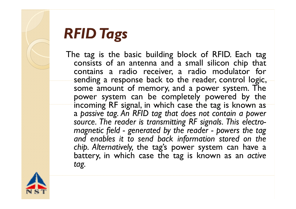

# *RFID Tags*

The tag is the basic building block of RFID. Each tag consists of an antenna and <sup>a</sup> small silicon chip that contains <sup>a</sup> radio receiver, <sup>a</sup> radio modulator for sending a response back to the reader, control logic, some amount of memory, and <sup>a</sup> power system. The power system can be completely powered by the incoming RF signal, in which case the tag is known as a *passive tag. An RFID tag that does not contain <sup>a</sup> power source. The reader is transmitting RF signals. This electromagnetic fi ld <sup>e</sup> - generate d by <sup>t</sup> he rea der - powers <sup>t</sup> he ta g and enables it to send back information stored on the chi p. Alternatively,* the t a g's powe r s ystem can have <sup>a</sup> battery, in which case the tag is known as an *active tag.*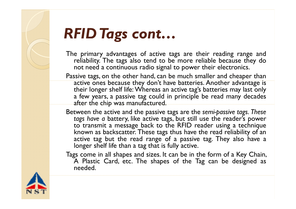

#### *RFID Tags cont …*

- The primary advantages of active tags are their reading range and reliability. The tags also tend to be more reliable because they do not need <sup>a</sup> continuous radio signal to power their electronics.
- Passive tags, on the other hand, can be much smaller and cheaper than active ones because they don't have batteries. Another advantage is their longer shelf life: Whereas an active tag's batteries may last only <sup>a</sup> few years, <sup>a</sup> passive tag could in principle be read many decades after the chip was manufactured.
- Between the active and the passive tags are the *semi-passive tags. These tags have <sup>a</sup>* battery, like active tags, but still use the reader's power to transmit a message back to the RFID reader using a technique known as backscatter. These tags thus have the read reliability of an active tag but the read range of <sup>a</sup> passive tag. They also have <sup>a</sup> longer shelf life than <sup>a</sup> tag that is fully active.
- Tags come in all shapes and sizes. It can be in the form of a Key Chain, A Plastic Card, etc. The shapes of the Tag can be designed as needed.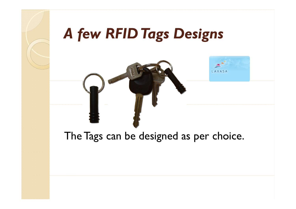

# *A few RFID Tags Designs*





### The Tags can be designed as per choice.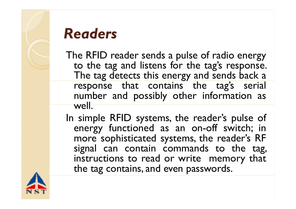

### *Readers*

- The RFID reader sends a pulse of radio energy to the tag and listens for the tag's response. The tag detects this energy and sends back a response that contains the tag's serial number and possibly other information as well.
- In simple RFID systems, the reader's pulse of energy functioned as an on -off switch; in more sophisticated systems, the reader's RF si gnal can contain commands t o the t ag, instructions to read or write memory that the tag contains, and even passwords.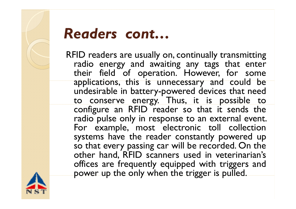

### *Readers cont…*

RFID readers are usually on, continually transmitting radio energy and awaiting any tags that enter their field of operation. However, for some applications, this is unnecessary and could be undesirable in battery-powered devices that need to conserve energy. Thus, it is possible to configure an RFID reader so that it sends the radio pulse only in response to an external event. For example, most electronic toll collection systems have the reader constantly powered up so that every passing car will be recorded. On the other hand, RFID scanners used in veterinarian's offices are frequently equipped with triggers and power up the only when the trigger is pulled.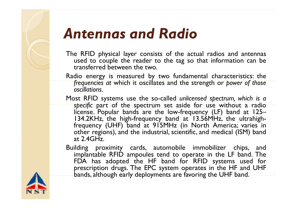

### *Antennas and Radio*

- The RFID physical layer consists of the actual radios and antennas used to couple the reader to the tag so that information can be transferred between the two.
- Radio energy is measured by two fundamental characteristics: the *frequencies at which it oscillates and the strength or <i>power of those oscillations.*
- Most RFID systems use the so-called *unlicensed spectrum, which is <sup>a</sup> specific* par<sup>t</sup> of the spectrum set aside for use without a radio license. Popular bands are the low-frequency (LF) band at 125-134.2KHz, the high-frequency band at 13.56MHz, the ultrahighfrequency (UHF) band at 915MHz (in North America; varies in other regions), and the industrial, scientific, and medical (ISM) band at 2.4GHz.
- Building proximity cards, automobile immobilizer chips, and implantable RFID ampoules tend to operate in the LF band. The FDA has adopted the HF band for RFID systems used for prescription drugs. The EPC system operates in the HF and UHF bands, although early deployments are favoring the UHF band.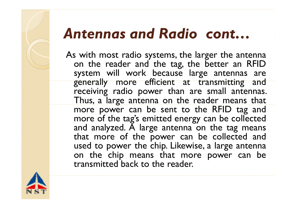# *Antennas and Radio cont …*

As with most radio systems, the larger the antenna on the reader and the tag, the better an RFID system will work because large antennas are generally more efficient at transmitting and receiving radio power than are small antennas. Thus, <sup>a</sup> large antenna on the reade r means that more powe r can be sent t o the RFID tag and more of the tag's emitted energy can be collected and analyzed. A large antenna on the tag means that more of the power can be collected and used to power the chip. Likewise, <sup>a</sup> large antenna on the chip means that more power can be transmitted back to the reader.

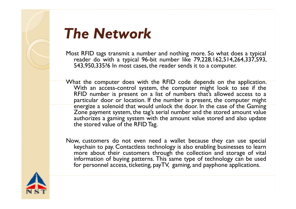

## *The Network*

- Most RFID tags transmit <sup>a</sup> number and nothing more. So what does <sup>a</sup> typical reade r do with <sup>a</sup> typical 96-bit numbe r like 79,228,162,514,264,337,593, 543,950,335?6 In most cases, the reader sends it to <sup>a</sup> computer.
- What the computer does with the RFID code depends on the application. With an access-control system, the computer might look to see if the RFID number is present on a list of numbers that's allowed access to a particular door or location. If the number is present, the computer might energize a solenoid that would unlock the door. In the case of the Gaming Zone paymen<sup>t</sup> system, the tag's serial number and the stored amount value authorizes <sup>a</sup> gaming system with the amount value stored and also update the stored value of the RFID Tag.
- Now, customers do not even need <sup>a</sup> wallet because they can use special keychain to pay. Contactless technology is also enabling businesses to learn more about their customers through the collection and storage of vital information of buying patterns. This same type of technology can be used for personnel access, ticketing, payTV, gaming, and payphone applications.